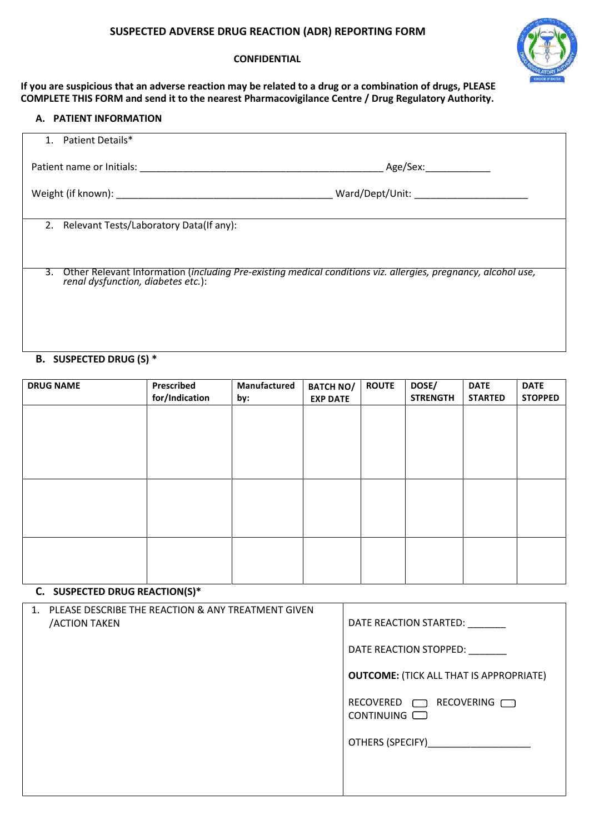# **SUSPECTED ADVERSE DRUG REACTION (ADR) REPORTING FORM**

### **CONFIDENTIAL**



**If you are suspicious that an adverse reaction may be related to a drug or a combination of drugs, PLEASE COMPLETE THIS FORM and send it to the nearest Pharmacovigilance Centre / Drug Regulatory Authority.**

# **A. PATIENT INFORMATION**

| 1. Patient Details*                                                                                                                                                                                                            |                                                                                                               |
|--------------------------------------------------------------------------------------------------------------------------------------------------------------------------------------------------------------------------------|---------------------------------------------------------------------------------------------------------------|
| Patient name or Initials: Name of Second Second Second Second Second Second Second Second Second Second Second Second Second Second Second Second Second Second Second Second Second Second Second Second Second Second Second | Age/Sex:                                                                                                      |
|                                                                                                                                                                                                                                |                                                                                                               |
|                                                                                                                                                                                                                                |                                                                                                               |
| 2. Relevant Tests/Laboratory Data(If any):                                                                                                                                                                                     |                                                                                                               |
|                                                                                                                                                                                                                                |                                                                                                               |
|                                                                                                                                                                                                                                |                                                                                                               |
| 3.<br>renal dysfunction, diabetes etc.):                                                                                                                                                                                       | Other Relevant Information (including Pre-existing medical conditions viz. allergies, pregnancy, alcohol use, |
|                                                                                                                                                                                                                                |                                                                                                               |
|                                                                                                                                                                                                                                |                                                                                                               |
|                                                                                                                                                                                                                                |                                                                                                               |

# **B. SUSPECTED DRUG (S) \***

| <b>DRUG NAME</b> | Prescribed<br>for/Indication | Manufactured<br>by: | <b>BATCH NO/</b><br><b>EXP DATE</b> | <b>ROUTE</b> | DOSE/<br><b>STRENGTH</b> | <b>DATE</b><br><b>STARTED</b> | <b>DATE</b><br><b>STOPPED</b> |
|------------------|------------------------------|---------------------|-------------------------------------|--------------|--------------------------|-------------------------------|-------------------------------|
|                  |                              |                     |                                     |              |                          |                               |                               |
|                  |                              |                     |                                     |              |                          |                               |                               |
|                  |                              |                     |                                     |              |                          |                               |                               |
|                  |                              |                     |                                     |              |                          |                               |                               |
|                  |                              |                     |                                     |              |                          |                               |                               |
|                  |                              |                     |                                     |              |                          |                               |                               |
|                  |                              |                     |                                     |              |                          |                               |                               |

# **C. SUSPECTED DRUG REACTION(S)\***

| DATE REACTION STARTED:                         |
|------------------------------------------------|
| DATE REACTION STOPPED:                         |
| <b>OUTCOME: (TICK ALL THAT IS APPROPRIATE)</b> |
| RECOVERED <b>TRECOVERING</b><br>CONTINUING     |
| OTHERS (SPECIFY)                               |
|                                                |
|                                                |